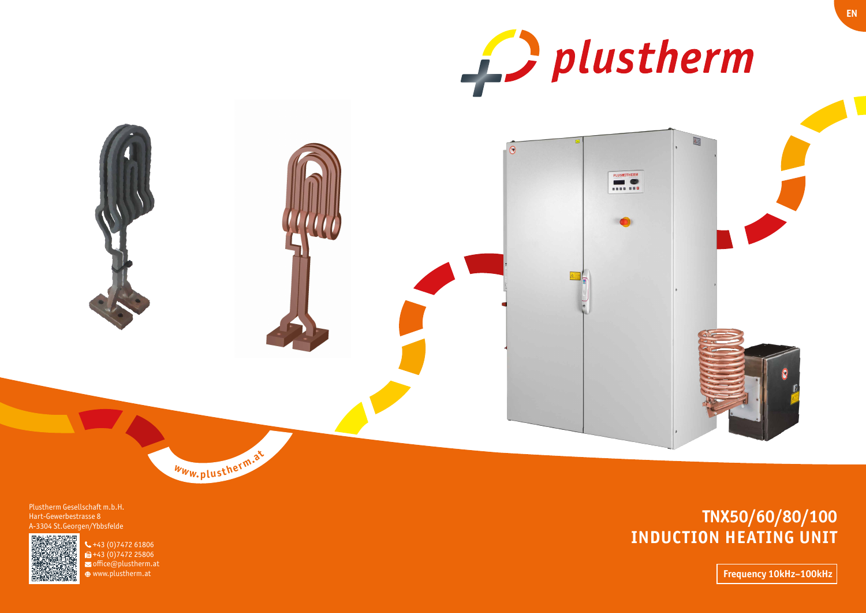# **TNX50/60/80/100 INDUCTION HEATING UNIT**





**Frequency 10kHz–100kHz**

 $-43(0)747261806$  $\mathbf{u}$ +43 (0) 7472 25806  $\triangleright$  office@plustherm.at www.plustherm.at

Plustherm Gesellschaft m.b.H. Hart-Gewerbestrasse 8 A-3304 St.Georgen/Ybbsfelde